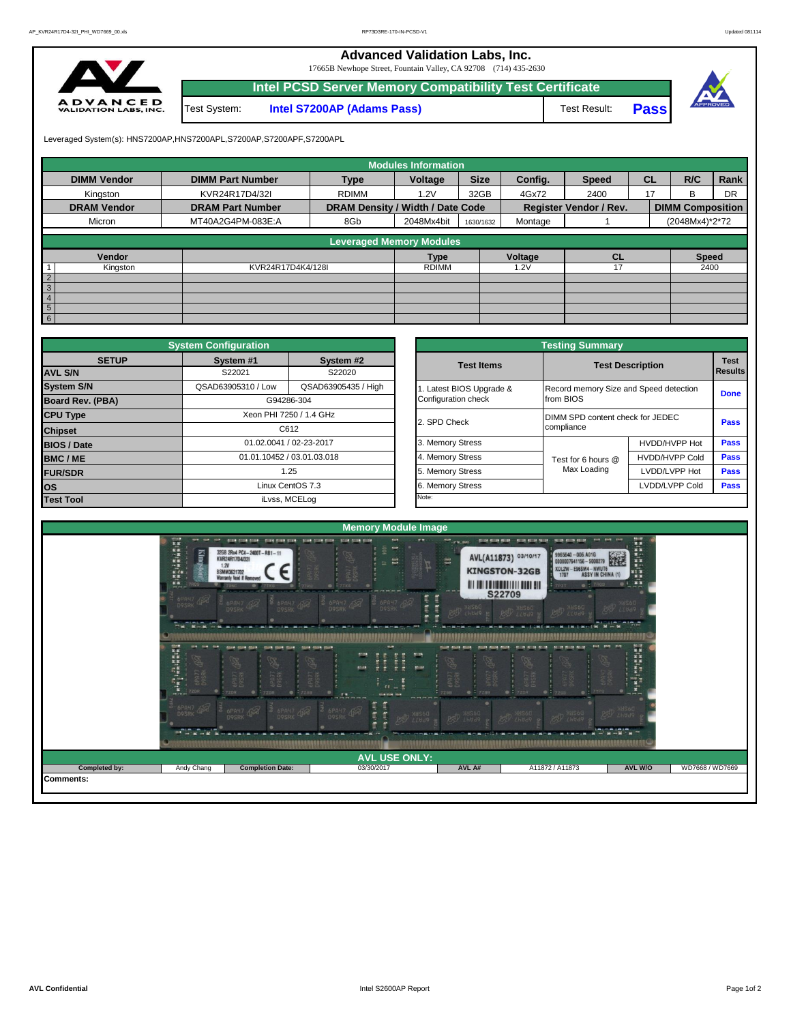**Advanced Validation Labs, Inc.** 

17665B Newhope Street, Fountain Valley, CA 92708 (714) 435-2630



|              | Intel PCSD Server Memory Compatibility Test Certificate |              |              |  |
|--------------|---------------------------------------------------------|--------------|--------------|--|
| Test System: | <b>Intel S7200AP (Adams Pass)</b>                       | Test Result: | <b>Passi</b> |  |



Leveraged System(s): HNS7200AP,HNS7200APL,S7200AP,S7200APF,S7200APL

|                    |                         |                                  | <b>Modules Information</b> |             |         |                               |           |                         |      |
|--------------------|-------------------------|----------------------------------|----------------------------|-------------|---------|-------------------------------|-----------|-------------------------|------|
| <b>DIMM Vendor</b> | <b>DIMM Part Number</b> | <b>Type</b>                      | Voltage                    | <b>Size</b> | Config. | <b>Speed</b>                  | <b>CL</b> | R/C                     | Rank |
| Kingston           | KVR24R17D4/32I          | <b>RDIMM</b>                     | 1.2V                       | 32GB        | 4Gx72   | 2400                          | 17        | R                       | DR   |
| <b>DRAM Vendor</b> | <b>DRAM Part Number</b> | DRAM Density / Width / Date Code |                            |             |         | <b>Register Vendor / Rev.</b> |           | <b>DIMM Composition</b> |      |
| Micron             | MT40A2G4PM-083E:A       | 8Gb                              | 2048Mx4bit                 | 1630/1632   | Montage |                               |           | (2048Mx4)*2*72          |      |
|                    |                         | <b>Leveraged Memory Modules</b>  |                            |             |         |                               |           |                         |      |
|                    |                         |                                  |                            |             |         |                               |           |                         |      |
| Vendor             |                         |                                  | <b>Type</b>                |             | Voltage | <b>CL</b>                     |           | <b>Speed</b>            |      |
| Kingston           | KVR24R17D4K4/128I       |                                  | <b>RDIMM</b>               |             | .2V     |                               |           | 2400                    |      |
| $\overline{2}$     |                         |                                  |                            |             |         |                               |           |                         |      |
| $\overline{3}$     |                         |                                  |                            |             |         |                               |           |                         |      |
| $\overline{4}$     |                         |                                  |                            |             |         |                               |           |                         |      |
| $5\overline{)}$    |                         |                                  |                            |             |         |                               |           |                         |      |
| 6                  |                         |                                  |                            |             |         |                               |           |                         |      |

|                    | <b>System Configuration</b> |                            |                       | <b>Testing Summary</b>                 |                         |                |
|--------------------|-----------------------------|----------------------------|-----------------------|----------------------------------------|-------------------------|----------------|
| <b>SETUP</b>       | System #1                   | System #2                  | <b>Test Items</b>     |                                        | <b>Test Description</b> | <b>Test</b>    |
| <b>AVL S/N</b>     | S22021                      | S22020                     |                       |                                        |                         | <b>Results</b> |
| <b>System S/N</b>  | QSAD63905310 / Low          | QSAD63905435 / High        | Latest BIOS Upgrade & | Record memory Size and Speed detection |                         | <b>Done</b>    |
| Board Rev. (PBA)   |                             | G94286-304                 | Configuration check   | from BIOS                              |                         |                |
| <b>CPU Type</b>    |                             | Xeon PHI 7250 / 1.4 GHz    | 2. SPD Check          | DIMM SPD content check for JEDEC       |                         | Pass           |
| <b>Chipset</b>     |                             | C612                       |                       | compliance                             |                         |                |
| <b>BIOS / Date</b> |                             | 01.02.0041 / 02-23-2017    | 3. Memory Stress      |                                        | HVDD/HVPP Hot           | <b>Pass</b>    |
| <b>BMC/ME</b>      |                             | 01.01.10452 / 03.01.03.018 | 4. Memory Stress      | Test for 6 hours @                     | <b>HVDD/HVPP Cold</b>   | <b>Pass</b>    |
| <b>FUR/SDR</b>     |                             | 1.25                       | 5. Memory Stress      | Max Loading                            | LVDD/LVPP Hot           | <b>Pass</b>    |
| <b>los</b>         |                             | Linux CentOS 7.3           | 6. Memory Stress      |                                        | LVDD/LVPP Cold          | <b>Pass</b>    |
| <b>Test Tool</b>   |                             | iLvss, MCELog              | Note:                 |                                        |                         |                |

|              | <b>System Configuration</b> |                            | <b>Testing Summary</b> |                         |                                        |      |  |  |  |  |  |  |
|--------------|-----------------------------|----------------------------|------------------------|-------------------------|----------------------------------------|------|--|--|--|--|--|--|
| <b>SETUP</b> | System #1<br>S22021         | System #2<br>S22020        | <b>Test Items</b>      | <b>Test Description</b> | <b>Test</b><br><b>Results</b>          |      |  |  |  |  |  |  |
|              | QSAD63905310 / Low          | QSAD63905435 / High        | Latest BIOS Upgrade &  |                         | Record memory Size and Speed detection |      |  |  |  |  |  |  |
| PBA)         |                             | G94286-304                 | Configuration check    | from BIOS               | <b>Done</b>                            |      |  |  |  |  |  |  |
|              |                             | Xeon PHI 7250 / 1.4 GHz    | 2. SPD Check           |                         | DIMM SPD content check for JEDEC       |      |  |  |  |  |  |  |
|              |                             | C612                       |                        | compliance              |                                        | Pass |  |  |  |  |  |  |
|              |                             | 01.02.0041 / 02-23-2017    | 3. Memory Stress       |                         | HVDD/HVPP Hot                          | Pass |  |  |  |  |  |  |
|              |                             | 01.01.10452 / 03.01.03.018 | 4. Memory Stress       | Test for 6 hours @      | <b>HVDD/HVPP Cold</b>                  | Pass |  |  |  |  |  |  |
|              |                             | 1.25                       |                        | Max Loading             | LVDD/LVPP Hot                          | Pass |  |  |  |  |  |  |
|              |                             | Linux CentOS 7.3           | 6. Memory Stress       |                         | LVDD/LVPP Cold                         | Pass |  |  |  |  |  |  |
|              |                             | iLvss, MCELog              | Note:                  |                         |                                        |      |  |  |  |  |  |  |

|                  |                                                                                                                                                                                                                                                                                                                                                                                                                                             |                                                                                                                                                                                                                                                 | <b>Memory Module Image</b>                                                                                                                                                                                                           |                                                                                                       |                                                                                                                                                                                                                                                                                                                            |                                                         |                 |
|------------------|---------------------------------------------------------------------------------------------------------------------------------------------------------------------------------------------------------------------------------------------------------------------------------------------------------------------------------------------------------------------------------------------------------------------------------------------|-------------------------------------------------------------------------------------------------------------------------------------------------------------------------------------------------------------------------------------------------|--------------------------------------------------------------------------------------------------------------------------------------------------------------------------------------------------------------------------------------|-------------------------------------------------------------------------------------------------------|----------------------------------------------------------------------------------------------------------------------------------------------------------------------------------------------------------------------------------------------------------------------------------------------------------------------------|---------------------------------------------------------|-----------------|
|                  | $\frac{1}{2} \frac{1}{2} \frac{1}{2} \frac{1}{2} \frac{1}{2} \frac{1}{2} \frac{1}{2} \frac{1}{2} \frac{1}{2} \frac{1}{2} \frac{1}{2} \frac{1}{2} \frac{1}{2} \frac{1}{2} \frac{1}{2} \frac{1}{2} \frac{1}{2} \frac{1}{2} \frac{1}{2} \frac{1}{2} \frac{1}{2} \frac{1}{2} \frac{1}{2} \frac{1}{2} \frac{1}{2} \frac{1}{2} \frac{1}{2} \frac{1}{2} \frac{1}{2} \frac{1}{2} \frac{1}{2} \frac{$<br>new that the<br><b>Kingston</b><br>DOSRK CH | ance close that - more more store - short store more - short store more<br>32GB 2Rx4 PC4-2400T-RB1-11<br>KVR24R17D4/32I<br>1.2V<br><b>BSMM3631702</b><br><b>Warranty Void If Removed</b><br><b><i>BPAH7 CO2</i></b><br>$\frac{2}{\text{DysRK}}$ | p.<br><b>WW</b><br>9001<br><b>MAY</b><br>囂<br>6PA<br>- 7 TKG<br>Ì<br><b>BPANT</b><br><b>SPAY7 452</b>                                                                                                                                | <b>PIP</b> LEW MAY<br>潭<br><b>KINGSTON-32GB</b><br><b><i><u>All the Lewis College and Sid</u></i></b> | dent and land . And kind and . And land land . And that the<br>9965640 - 006.A01G<br>AVL(A11873) 03/10/17<br>0000007641156 - \$000279<br><b>XDL2W-E96SM4-NWUT6</b><br>1707 ASSY IN CHINA (1)<br>$\bullet$ : 7RQ9<br><b>TPZT</b><br><b>S22709</b><br><b>BATTLE OF THE SHELL AND</b><br><b>PSD</b> XHS60<br><b>PSD</b> XHS60 | <b>Library</b><br>麗<br>BOD NUSSO<br><b>MILLIM MIN.M</b> |                 |
|                  | 6PA77<br>D9SRK<br>7ZDR<br><b>PE-79.9</b><br>6PAH7 49<br>$-1.45$                                                                                                                                                                                                                                                                                                                                                                             | tone care care<br>court story story.<br><b>B</b><br>6P877<br>D9SRK<br><b>SPA77</b><br>D9SRK<br>72DR<br>۰<br>$\bullet$<br>$-77298 -$<br><b>BPAY7 482</b><br><b>SPANT CHAP</b>                                                                    | <b>MAR</b><br>- store more more<br><b>HURSEY</b><br>黒田<br>A.<br>store<br>pose<br>$\frac{1}{n}$<br>۰<br>$-7.9$<br>strik took took<br>I all your count coup coup coup<br>THE PART PART PART<br>in est<br><b>SPAY7 452</b><br>DASEK RES | <b>FOOT FOOT FOOT</b><br><b>About Alling Among</b><br>PA77 GR<br><b>7298</b><br><b>PSD</b> HUGO       | <b>SCIEN STORE SECON</b><br><b>STORE STORE SECOND</b><br><b><i><b>SERTT (FREE</b></i></b><br>정<br><b>POD</b> VINSAG<br>DOZEK DE<br>· 10世世宗教教育研究教育教育教育研究研究院院教授教育教育教育研究教育教育学科学研究院院教育教育教育教育学科学教育研究教育教育教育教育教育教育教育教育教育                                                                                                          | <b>PSD</b> XHS60<br>44.244.244                          |                 |
|                  |                                                                                                                                                                                                                                                                                                                                                                                                                                             |                                                                                                                                                                                                                                                 | <b>AVL USE ONLY:</b>                                                                                                                                                                                                                 |                                                                                                       |                                                                                                                                                                                                                                                                                                                            |                                                         |                 |
| Completed by:    | Andy Chang                                                                                                                                                                                                                                                                                                                                                                                                                                  | <b>Completion Date:</b>                                                                                                                                                                                                                         | 03/30/2017                                                                                                                                                                                                                           | AVL A#                                                                                                | A11872 / A11873                                                                                                                                                                                                                                                                                                            | AVL W/O                                                 | WD7668 / WD7669 |
| <b>Comments:</b> |                                                                                                                                                                                                                                                                                                                                                                                                                                             |                                                                                                                                                                                                                                                 |                                                                                                                                                                                                                                      |                                                                                                       |                                                                                                                                                                                                                                                                                                                            |                                                         |                 |